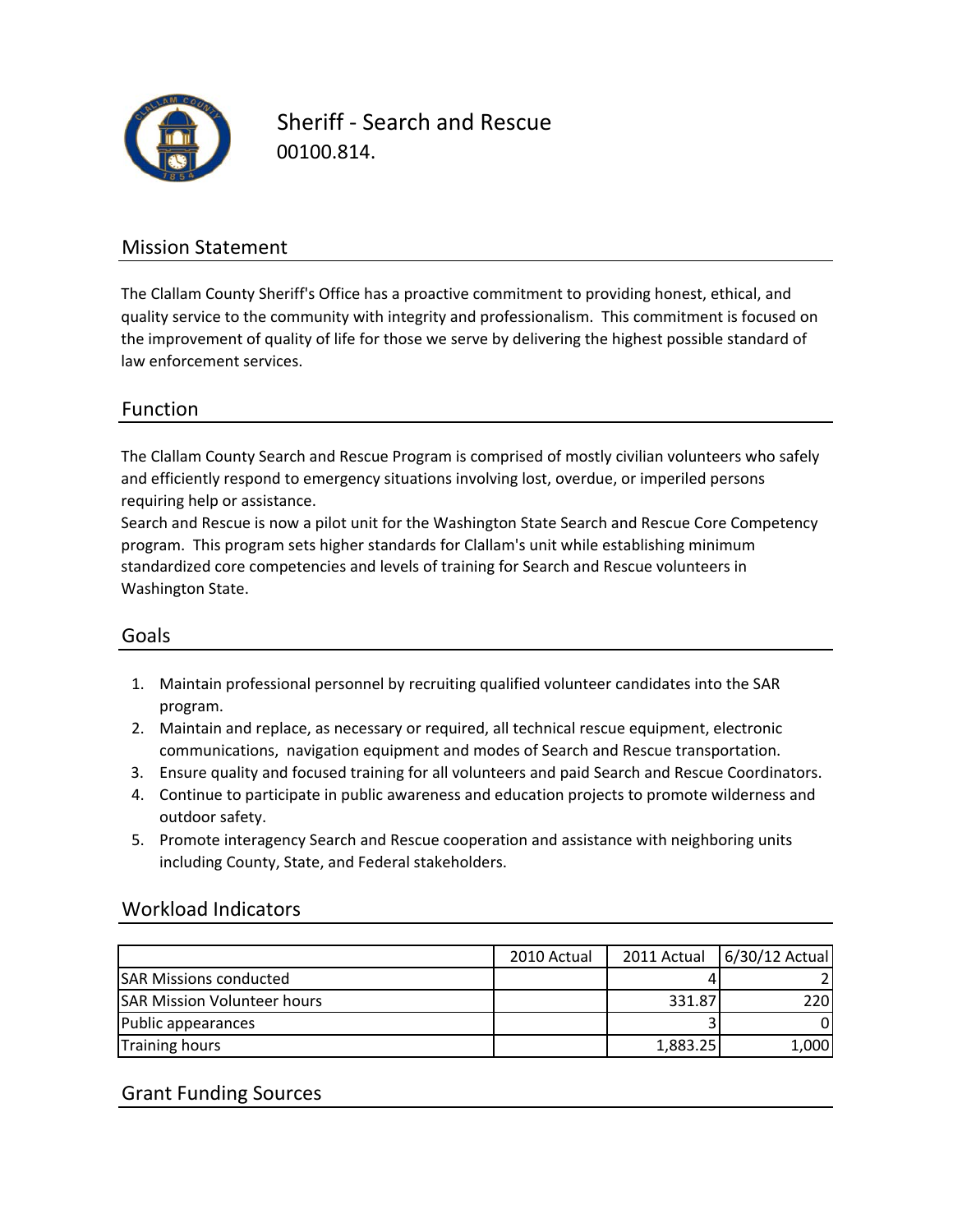

Sheriff ‐ Search and Rescue 00100.814.

### Mission Statement

The Clallam County Sheriff's Office has a proactive commitment to providing honest, ethical, and quality service to the community with integrity and professionalism. This commitment is focused on the improvement of quality of life for those we serve by delivering the highest possible standard of law enforcement services.

#### Function

The Clallam County Search and Rescue Program is comprised of mostly civilian volunteers who safely and efficiently respond to emergency situations involving lost, overdue, or imperiled persons requiring help or assistance.

Search and Rescue is now a pilot unit for the Washington State Search and Rescue Core Competency program. This program sets higher standards for Clallam's unit while establishing minimum standardized core competencies and levels of training for Search and Rescue volunteers in Washington State.

#### Goals

- 1. Maintain professional personnel by recruiting qualified volunteer candidates into the SAR program.
- 2. Maintain and replace, as necessary or required, all technical rescue equipment, electronic communications, navigation equipment and modes of Search and Rescue transportation.
- 3. Ensure quality and focused training for all volunteers and paid Search and Rescue Coordinators.
- 4. Continue to participate in public awareness and education projects to promote wilderness and outdoor safety.
- 5. Promote interagency Search and Rescue cooperation and assistance with neighboring units including County, State, and Federal stakeholders.

#### Workload Indicators

|                                    | 2010 Actual |          | 2011 Actual 6/30/12 Actual |
|------------------------------------|-------------|----------|----------------------------|
| <b>SAR Missions conducted</b>      |             |          |                            |
| <b>SAR Mission Volunteer hours</b> |             | 331.87   | 220I                       |
| Public appearances                 |             |          |                            |
| Training hours                     |             | 1,883.25 | 1,000                      |

#### Grant Funding Sources